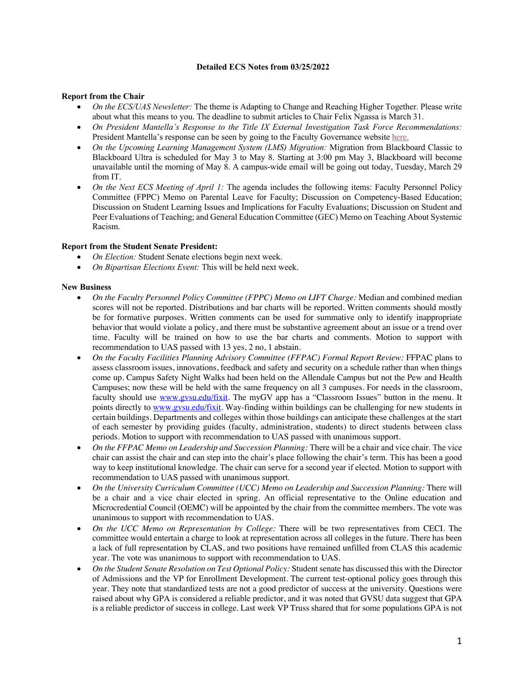## **Detailed ECS Notes from 03/25/2022**

## **Report from the Chair**

- *On the ECS/UAS Newsletter:* The theme is Adapting to Change and Reaching Higher Together. Please write about what this means to you. The deadline to submit articles to Chair Felix Ngassa is March 31.
- *On President Mantella's Response to the Title IX External Investigation Task Force Recommendations:*  President Mantella's response can be seen by going to the Faculty Governance website here.
- *On the Upcoming Learning Management System (LMS) Migration:* Migration from Blackboard Classic to Blackboard Ultra is scheduled for May 3 to May 8. Starting at 3:00 pm May 3, Blackboard will become unavailable until the morning of May 8. A campus-wide email will be going out today, Tuesday, March 29 from IT.
- *On the Next ECS Meeting of April 1:* The agenda includes the following items: Faculty Personnel Policy Committee (FPPC) Memo on Parental Leave for Faculty; Discussion on Competency-Based Education; Discussion on Student Learning Issues and Implications for Faculty Evaluations; Discussion on Student and Peer Evaluations of Teaching; and General Education Committee (GEC) Memo on Teaching About Systemic Racism.

## **Report from the Student Senate President:**

- *On Election:* Student Senate elections begin next week.
- *On Bipartisan Elections Event:* This will be held next week.

## **New Business**

- *On the Faculty Personnel Policy Committee (FPPC) Memo on LIFT Charge:* Median and combined median scores will not be reported. Distributions and bar charts will be reported. Written comments should mostly be for formative purposes. Written comments can be used for summative only to identify inappropriate behavior that would violate a policy, and there must be substantive agreement about an issue or a trend over time. Faculty will be trained on how to use the bar charts and comments. Motion to support with recommendation to UAS passed with 13 yes, 2 no, 1 abstain.
- *On the Faculty Facilities Planning Advisory Committee (FFPAC) Formal Report Review:* FFPAC plans to assess classroom issues, innovations, feedback and safety and security on a schedule rather than when things come up. Campus Safety Night Walks had been held on the Allendale Campus but not the Pew and Health Campuses; now these will be held with the same frequency on all 3 campuses. For needs in the classroom, faculty should use www.gvsu.edu/fixit. The myGV app has a "Classroom Issues" button in the menu. It points directly to www.gvsu.edu/fixit. Way-finding within buildings can be challenging for new students in certain buildings. Departments and colleges within those buildings can anticipate these challenges at the start of each semester by providing guides (faculty, administration, students) to direct students between class periods. Motion to support with recommendation to UAS passed with unanimous support.
- *On the FFPAC Memo on Leadership and Succession Planning:* There will be a chair and vice chair. The vice chair can assist the chair and can step into the chair's place following the chair's term. This has been a good way to keep institutional knowledge. The chair can serve for a second year if elected. Motion to support with recommendation to UAS passed with unanimous support.
- *On the University Curriculum Committee (UCC) Memo on Leadership and Succession Planning:* There will be a chair and a vice chair elected in spring. An official representative to the Online education and Microcredential Council (OEMC) will be appointed by the chair from the committee members. The vote was unanimous to support with recommendation to UAS.
- *On the UCC Memo on Representation by College:* There will be two representatives from CECI. The committee would entertain a charge to look at representation across all colleges in the future. There has been a lack of full representation by CLAS, and two positions have remained unfilled from CLAS this academic year. The vote was unanimous to support with recommendation to UAS.
- *On the Student Senate Resolution on Test Optional Policy:* Student senate has discussed this with the Director of Admissions and the VP for Enrollment Development. The current test-optional policy goes through this year. They note that standardized tests are not a good predictor of success at the university. Questions were raised about why GPA is considered a reliable predictor, and it was noted that GVSU data suggest that GPA is a reliable predictor of success in college. Last week VP Truss shared that for some populations GPA is not